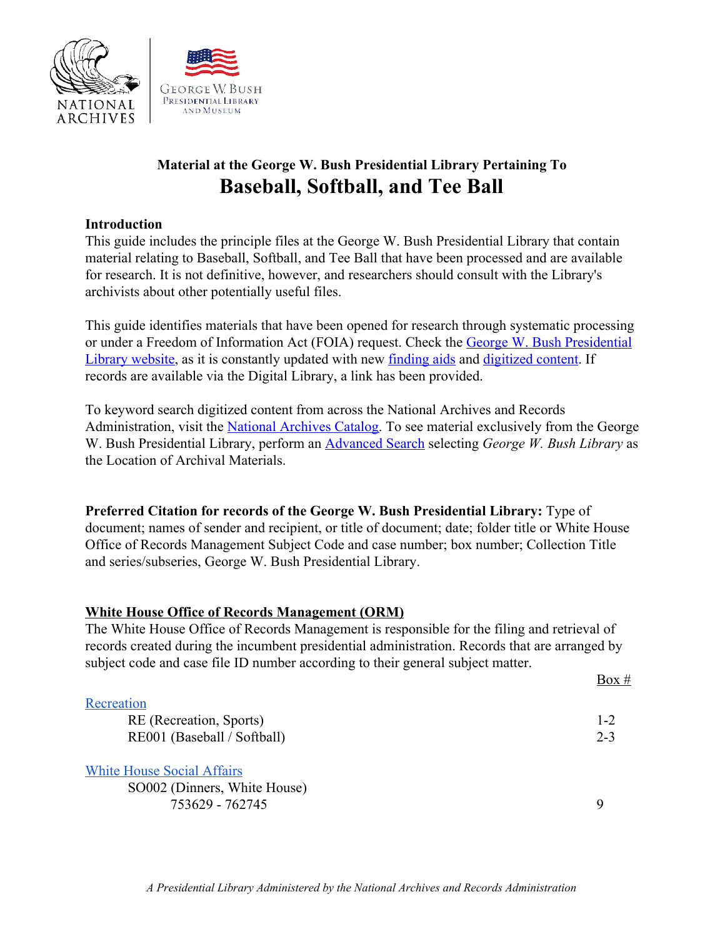

# **Material at the George W. Bush Presidential Library Pertaining To Baseball, Softball, and Tee Ball**

### **Introduction**

This guide includes the principle files at the George W. Bush Presidential Library that contain material relating to Baseball, Softball, and Tee Ball that have been processed and are available for research. It is not definitive, however, and researchers should consult with the Library's archivists about other potentially useful files.

This guide identifies materials that have been opened for research through systematic processing or under a Freedom of Information Act (FOIA) request. Check the [George W. Bush Presidential](https://www.georgewbushlibrary.gov/) [Library website,](https://www.georgewbushlibrary.gov/) as it is constantly updated with new [finding aids](https://www.georgewbushlibrary.gov/research/finding-aids) and [digitized content](https://www.georgewbushlibrary.gov/research/records-search?f%5B0%5D=type%3Afoia_request). If records are available via the Digital Library, a link has been provided.

To keyword search digitized content from across the National Archives and Records Administration, visit the [National Archives Catalog.](https://catalog.archives.gov/) To see material exclusively from the George W. Bush Presidential Library, perform an [Advanced Search](https://catalog.archives.gov/advancedsearch) selecting *George W. Bush Library* as the Location of Archival Materials.

**Preferred Citation for records of the George W. Bush Presidential Library:** Type of document; names of sender and recipient, or title of document; date; folder title or White House Office of Records Management Subject Code and case number; box number; Collection Title and series/subseries, George W. Bush Presidential Library.

#### **White House Office of Records Management (ORM)**

The White House Office of Records Management is responsible for the filing and retrieval of records created during the incumbent presidential administration. Records that are arranged by subject code and case file ID number according to their general subject matter.

#### **[Recreation](https://www.georgewbushlibrary.gov/research/finding-aids/white-house-office-records-management/re-recreation)**

| uuvii                       |         |
|-----------------------------|---------|
| RE (Recreation, Sports)     | $1 - 2$ |
| RE001 (Baseball / Softball) | $2 - 3$ |

 $Box #$ 

[White House Social Affairs](https://www.georgewbushlibrary.gov/research/finding-aids/white-house-office-records-management/so-white-house-social-affairs)

SO002 (Dinners, White House) 753629 - 762745 9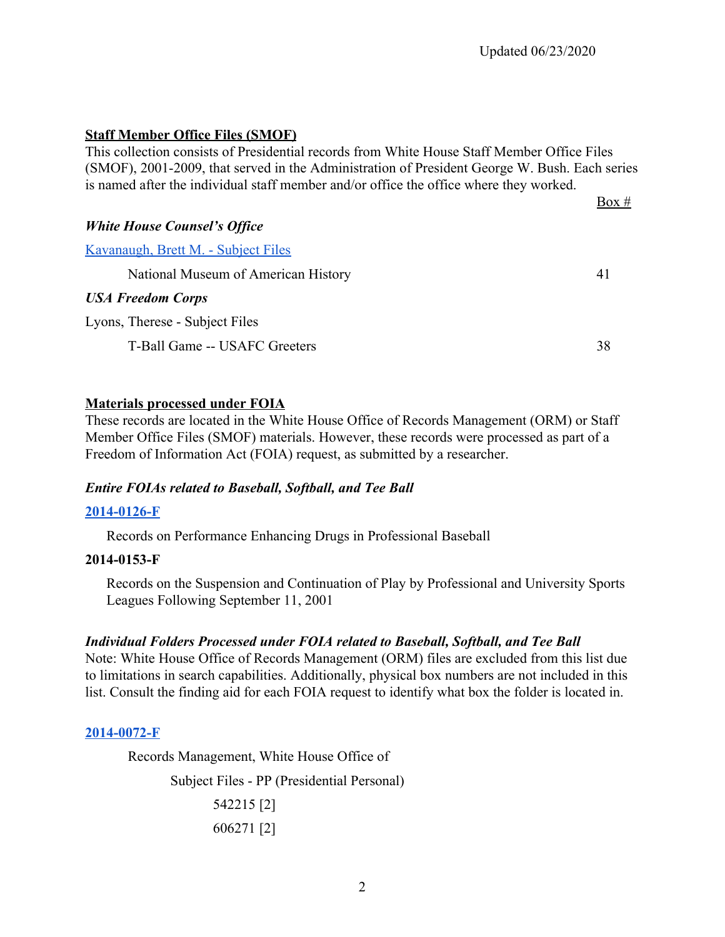### **Staff Member Office Files (SMOF)**

This collection consists of Presidential records from White House Staff Member Office Files (SMOF), 2001-2009, that served in the Administration of President George W. Bush. Each series is named after the individual staff member and/or office the office where they worked.

 $Box #$ *White House Counsel's Office* [Kavanaugh, Brett M. - Subject Files](https://www.georgewbushlibrary.gov/research/finding-aids/records-brett-m-kavanaugh/white-house-counsels-office-subject-files) National Museum of American History 41 *USA Freedom Corps* Lyons, Therese - Subject Files T-Ball Game -- USAFC Greeters 38

#### **Materials processed under FOIA**

These records are located in the White House Office of Records Management (ORM) or Staff Member Office Files (SMOF) materials. However, these records were processed as part of a Freedom of Information Act (FOIA) request, as submitted by a researcher.

### *Entire FOIAs related to Baseball, Softball, and Tee Ball*

#### **[2014-0126-F](https://www.georgewbushlibrary.gov/research/finding-aids/foia-requests/2014-0126-f-records-performance-enhancing-drugs-professional-baseball)**

[Records on Performance Enhancing Drugs in Professional Baseball](https://www.georgewbushlibrary.smu.edu/Digital-Library---2/~/link.aspx?_id=BD1E08FCE70C4F8DBDFC9B0C6E53ED7A&_z=z)

#### **2014-0153-F**

Records on the Suspension and Continuation of Play by Professional and University Sports Leagues Following September 11, 2001

### *Individual Folders Processed under FOIA related to Baseball, Softball, and Tee Ball*

Note: White House Office of Records Management (ORM) files are excluded from this list due to limitations in search capabilities. Additionally, physical box numbers are not included in this list. Consult the finding aid for each FOIA request to identify what box the folder is located in.

#### **[2014-0072-F](https://www.georgewbushlibrary.gov/research/finding-aids/foia-requests/2014-0072-f-correspondence-between-president-bush-and-his-pastors-and-spiritual-advisors)**

Records Management, White House Office of

Subject Files - PP (Presidential Personal) 542215 [2] 606271 [2]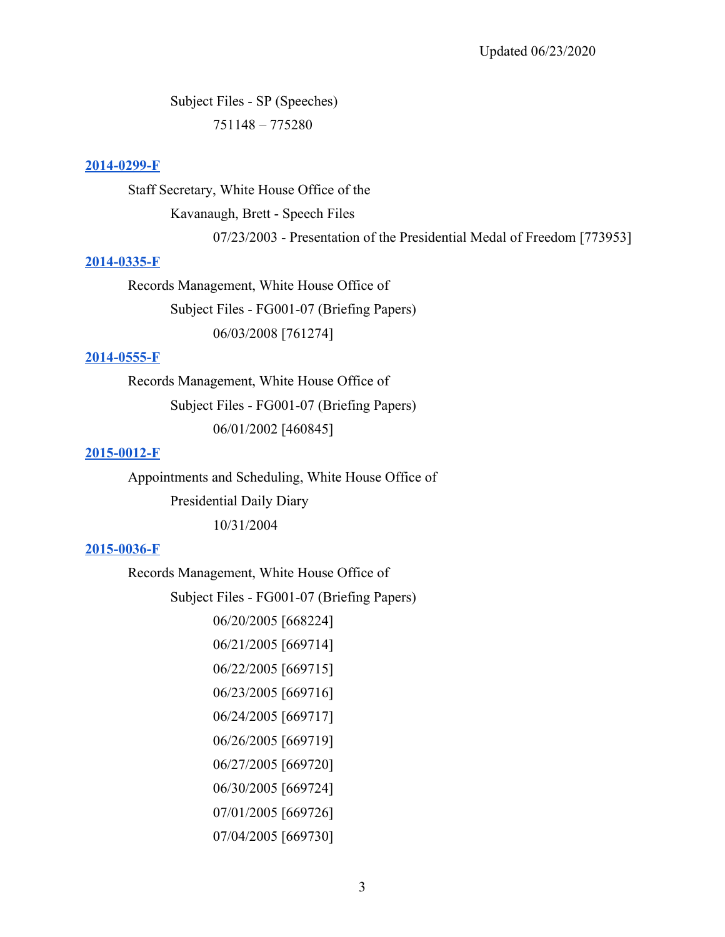Subject Files - SP (Speeches) 751148 – 775280

#### **[2014-0299-F](https://www.georgewbushlibrary.gov/research/finding-aids/foia-requests/2014-0299-f-correspondence-president-jimmy-carter-or-rosalynn-carter-and-george-w-bush-well-speeches)**

Staff Secretary, White House Office of the

Kavanaugh, Brett - Speech Files

07/23/2003 - Presentation of the Presidential Medal of Freedom [773953]

#### **[2014-0335-F](https://www.georgewbushlibrary.gov/research/finding-aids/foia-requests/2014-0335-f-records-created-or-sent-susan-dudley-related-securities-regulation-sec-and-market)**

Records Management, White House Office of Subject Files - FG001-07 (Briefing Papers) 06/03/2008 [761274]

#### **[2014-0555-F](https://www.georgewbushlibrary.gov/research/finding-aids/foia-requests/2014-0555-f-drafts-of-president-george-w-bush-remark-at-the-united-states-military-academy-at-west-point-on-june-1-2002)**

Records Management, White House Office of Subject Files - FG001-07 (Briefing Papers) 06/01/2002 [460845]

#### **[2015-0012-F](https://www.georgewbushlibrary.gov/research/finding-aids/foia-requests/2015-0012-f-specific-dates-presidential-daily-diary-and-briefing-materials)**

Appointments and Scheduling, White House Office of Presidential Daily Diary 10/31/2004

### **[2015-0036-F](https://www.georgewbushlibrary.gov/research/finding-aids/foia-requests/2015-0036-f-records-related-billy-graham)**

Records Management, White House Office of

Subject Files - FG001-07 (Briefing Papers)

- 06/20/2005 [668224] 06/21/2005 [669714]
- 06/22/2005 [669715]
- 06/23/2005 [669716]
- 06/24/2005 [669717]
- 06/26/2005 [669719]
- 06/27/2005 [669720]
- 06/30/2005 [669724]
- 07/01/2005 [669726]
- 07/04/2005 [669730]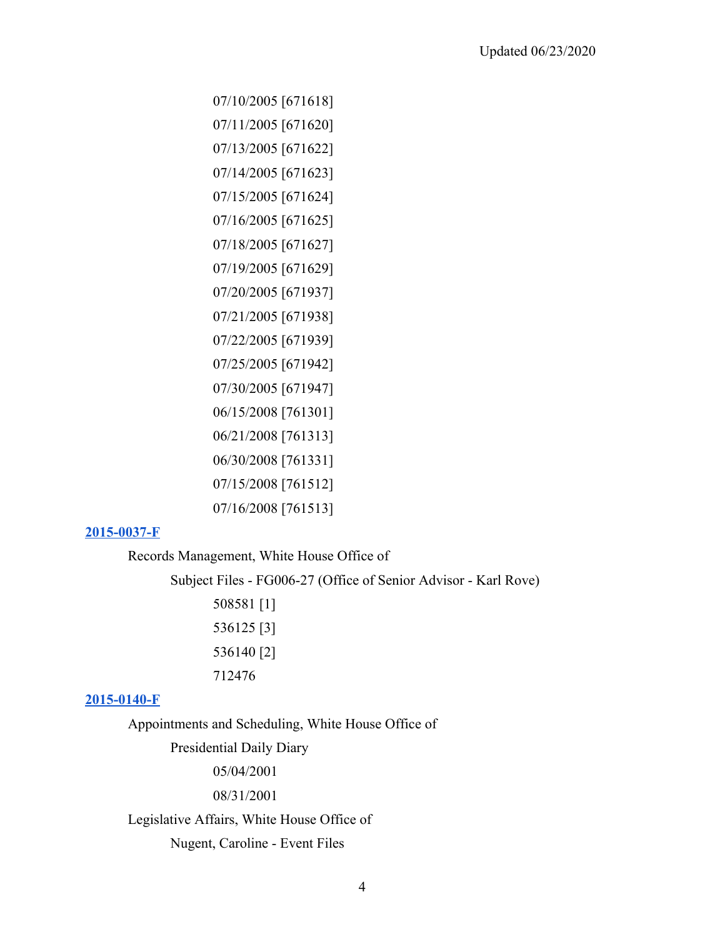07/11/2005 [671620] 07/13/2005 [671622] 07/14/2005 [671623] 07/15/2005 [671624] 07/16/2005 [671625] 07/18/2005 [671627] 07/19/2005 [671629] 07/20/2005 [671937] 07/21/2005 [671938] 07/22/2005 [671939] 07/25/2005 [671942] 07/30/2005 [671947] 06/15/2008 [761301] 06/21/2008 [761313] 06/30/2008 [761331] 07/15/2008 [761512] 07/16/2008 [761513]

07/10/2005 [671618]

#### **[2015-0037-F](https://www.georgewbushlibrary.gov/research/finding-aids/foia-requests/2015-0037-f-records-related-james-dobson)**

Records Management, White House Office of

Subject Files - FG006-27 (Office of Senior Advisor - Karl Rove)

508581 [1] 536125 [3] 536140 [2] 712476

#### **[2015-0140-F](https://www.georgewbushlibrary.gov/research/finding-aids/foia-requests/2015-0140-f-films-screened-president-george-w-bush)**

Appointments and Scheduling, White House Office of

Presidential Daily Diary

05/04/2001

08/31/2001

### Legislative Affairs, White House Office of

Nugent, Caroline - Event Files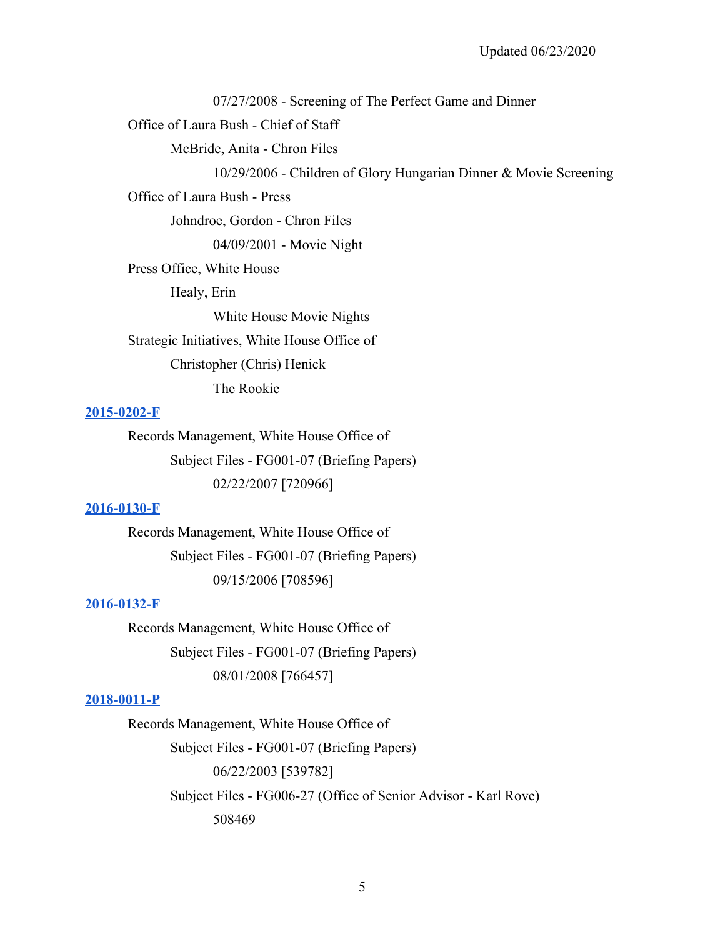07/27/2008 - Screening of The Perfect Game and Dinner

Office of Laura Bush - Chief of Staff

McBride, Anita - Chron Files

10/29/2006 - Children of Glory Hungarian Dinner & Movie Screening

Office of Laura Bush - Press

Johndroe, Gordon - Chron Files

04/09/2001 - Movie Night

Press Office, White House

Healy, Erin

White House Movie Nights

Strategic Initiatives, White House Office of

Christopher (Chris) Henick

The Rookie

#### **[2015-0202-F](https://www.georgewbushlibrary.gov/research/finding-aids/foia-requests/2015-0202-f-correspondence-president-bush-related-duke-lacrosse-case-between-march-25-2006-and)**

Records Management, White House Office of Subject Files - FG001-07 (Briefing Papers) 02/22/2007 [720966]

### **[2016-0130-F](https://www.georgewbushlibrary.gov/research/finding-aids/foia-requests/2016-0130-f-president-george-w-bushs-meetings-talk-show-radio-hosts-september-15-2006-and-august-1)**

Records Management, White House Office of Subject Files - FG001-07 (Briefing Papers) 09/15/2006 [708596]

#### **[2016-0132-F](https://www.georgewbushlibrary.gov/research/finding-aids/foia-requests/2016-0132-f-records-august-1-2008-congratulatory-call-rush-limbaugh-regarding-20th-year-national)**

Records Management, White House Office of Subject Files - FG001-07 (Briefing Papers) 08/01/2008 [766457]

#### **[2018-0011-P](https://www.georgewbushlibrary.gov/research/finding-aids/foia-requests/2018-0011-p-records-related-brett-kavanaughs-service-white-house-counsels-office-white-house-office)**

Records Management, White House Office of Subject Files - FG001-07 (Briefing Papers) 06/22/2003 [539782] Subject Files - FG006-27 (Office of Senior Advisor - Karl Rove) 508469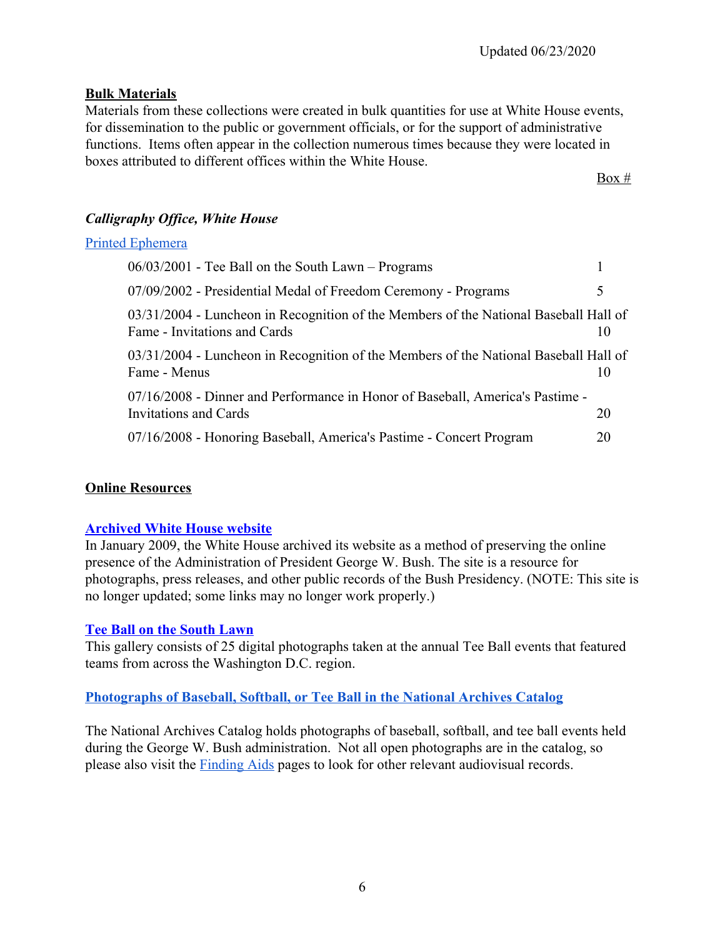### **Bulk Materials**

 functions. Items often appear in the collection numerous times because they were located in Materials from these collections were created in bulk quantities for use at White House events, for dissemination to the public or government officials, or for the support of administrative boxes attributed to different offices within the White House.

 $Box #$ 

# *Calligraphy Office, White House*

### [Printed Ephemera](https://www.georgewbushlibrary.gov/research/finding-aids/white-house-staff-member-office-files/calligraphy-office-white-house-printed-ephemera)

| $06/03/2001$ - Tee Ball on the South Lawn – Programs                                                                   |    |
|------------------------------------------------------------------------------------------------------------------------|----|
| 07/09/2002 - Presidential Medal of Freedom Ceremony - Programs                                                         | 5  |
| $03/31/2004$ - Luncheon in Recognition of the Members of the National Baseball Hall of<br>Fame - Invitations and Cards |    |
| 03/31/2004 - Luncheon in Recognition of the Members of the National Baseball Hall of<br>Fame - Menus                   |    |
| 07/16/2008 - Dinner and Performance in Honor of Baseball, America's Pastime -<br>Invitations and Cards                 | 20 |
| 07/16/2008 - Honoring Baseball, America's Pastime - Concert Program                                                    | 20 |

### **Online Resources**

### **[Archived White House website](https://georgewbush-whitehouse.archives.gov/index.html)**

In January 2009, the White House archived its website as a method of preserving the online presence of the Administration of President George W. Bush. The site is a resource for photographs, press releases, and other public records of the Bush Presidency. (NOTE: This site is no longer updated; some links may no longer work properly.)

### **[Tee Ball on the South Lawn](https://www.georgewbushlibrary.gov/explore/galleries/tee-ball)**

This gallery consists of 25 digital photographs taken at the annual Tee Ball events that featured teams from across the Washington D.C. region.

### **[Photographs of Baseball, Softball, or Tee Ball in the National Archives Catalog](https://catalog.archives.gov/search?q=baseball%20or%20%22tee%20ball%22%20or%20softball%20or%20%22T-Ball%22&f.oldScope=(descriptions%20or%20online)&f.locationIds=53&SearchType=advanced&f.materialsType=photographsandgraphics&offset=20#.XvJy7C7wilU.link)**

The National Archives Catalog holds photographs of baseball, softball, and tee ball events held during the George W. Bush administration. Not all open photographs are in the catalog, so please also visit the [Finding Aids](https://www.georgewbushlibrary.gov/research/finding-aids) pages to look for other relevant audiovisual records.